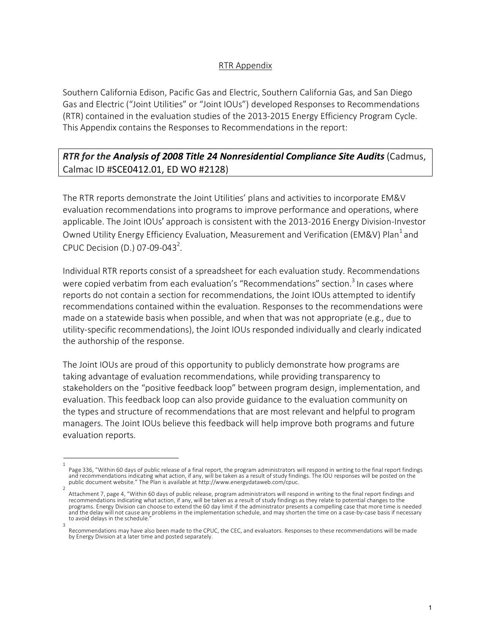## RTR Appendix

Southern California Edison, Pacific Gas and Electric, Southern California Gas, and San Diego Gas and Electric ("Joint Utilities" or "Joint IOUs") developed Responses to Recommendations (RTR) contained in the evaluation studies of the 2013-2015 Energy Efficiency Program Cycle. This Appendix contains the Responses to Recommendations in the report:

## *RTR for the Analysis of 2008 Title 24 Nonresidential Compliance Site Audits* (Cadmus, Calmac ID #SCE0412.01, ED WO #2128)

The RTR reports demonstrate the Joint Utilities' plans and activities to incorporate EM&V evaluation recommendations into programs to improve performance and operations, where applicable. The Joint IOUs' approach is consistent with the 2013-2016 Energy Division-Investor Owned Utility Energy Efficiency Evaluation, Measurement and Verification (EM&V) Plan<sup>1</sup> and CPUC Decision (D.) 07-09-043<sup>2</sup>.

Individual RTR reports consist of a spreadsheet for each evaluation study. Recommendations were copied verbatim from each evaluation's "Recommendations" section.<sup>3</sup> In cases where reports do not contain a section for recommendations, the Joint IOUs attempted to identify recommendations contained within the evaluation. Responses to the recommendations were made on a statewide basis when possible, and when that was not appropriate (e.g., due to utility-specific recommendations), the Joint IOUs responded individually and clearly indicated the authorship of the response.

The Joint IOUs are proud of this opportunity to publicly demonstrate how programs are taking advantage of evaluation recommendations, while providing transparency to stakeholders on the "positive feedback loop" between program design, implementation, and evaluation. This feedback loop can also provide guidance to the evaluation community on the types and structure of recommendations that are most relevant and helpful to program managers. The Joint IOUs believe this feedback will help improve both programs and future evaluation reports.

<sup>1</sup>  Page 336, "Within 60 days of public release of a final report, the program administrators will respond in writing to the final report findings<br>and recommendations indicating what action, if any, will be taken as a result o public document website." The Plan is available at http://www.energydataweb.com/cpuc.

Attachment 7, page 4, "Within 60 days of public release, program administrators will respond in writing to the final report findings and recommendations indicating what action, if any, will be taken as a result of study findings as they relate to potential changes to the programs. Energy Division can choose to extend the 60 day limit if the administrator presents a compelling case that more time is needed and the delay will not cause any problems in the implementation schedule, and may shorten the time on a case-by-case basis if necessary to avoid delays in the schedule. 3

Recommendations may have also been made to the CPUC, the CEC, and evaluators. Responses to these recommendations will be made by Energy Division at a later time and posted separately.